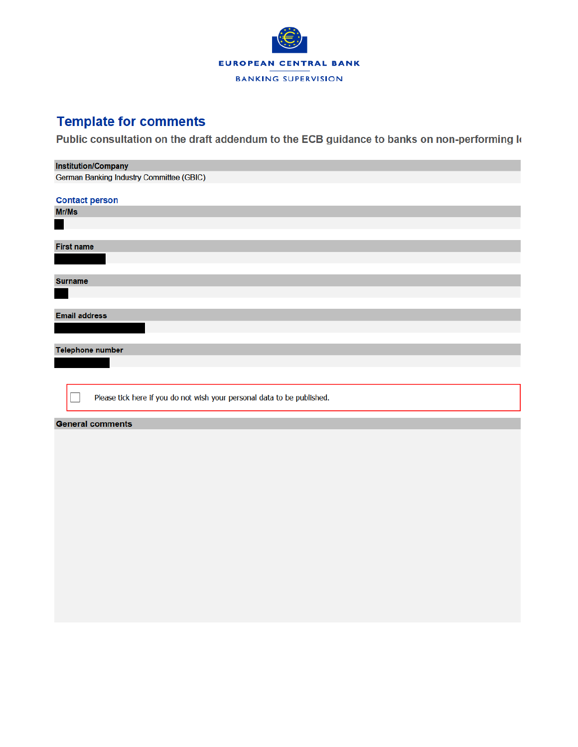

### **Template for comments**

Public consultation on the draft addendum to the ECB guidance to banks on non-performing k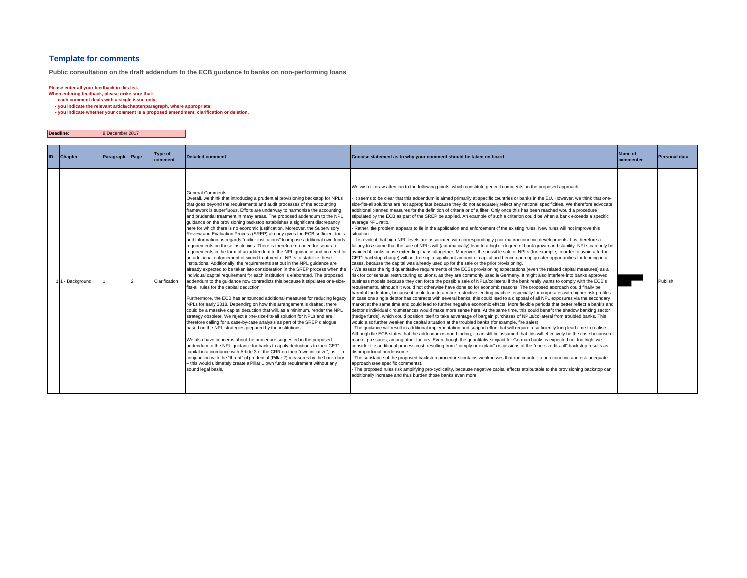#### **Template for comments**

**Public consultation on the draft addendum to the ECB guidance to banks on non-performing loans**

**Deadline:**

**Please enter all your feedback in this list. When entering feedback, please make sure that: - each comment deals with a single issue only;**

 **- you indicate the relevant article/chapter/paragraph, where appropriate;**

8 December 2017

 **- you indicate whether your comment is a proposed amendment, clarification or deletion.**

| ID | <b>Chapter</b> | Paragraph | Page | <b>Type of</b><br>comment | <b>Detailed comment</b>                                                                                                                                                                                                                                                                                                                                                                                                                                                                                                                                                                                                                                                                                                                                                                                                                                                                                                                                                                                                                                                                                                                                                                                                                                                                                                                                                                                                                                                                                                                                                                                                                                                                                                                                                                                                                                                                                                                                                                                                                                                                                                                                                                                           | Concise statement as to why your comment should be taken on board                                                                                                                                                                                                                                                                                                                                                                                                                                                                                                                                                                                                                                                                                                                                                                                                                                                                                                                                                                                                                                                                                                                                                                                                                                                                                                                                                                                                                                                                                                                                                                                                                                                                                                                                                                                                                                                                                                                                                                                                                                                                                                                                                                                                                                                                                                                                                                                                                                                                                                                                                                                                                                                                                                                                                                                                                                                                                                                                                                                                                                                                                                                                                                                                                                                                                                                                                                                                                                                                                                                                                                                                                                                                                                | Name of<br>commenter | Personal data |
|----|----------------|-----------|------|---------------------------|-------------------------------------------------------------------------------------------------------------------------------------------------------------------------------------------------------------------------------------------------------------------------------------------------------------------------------------------------------------------------------------------------------------------------------------------------------------------------------------------------------------------------------------------------------------------------------------------------------------------------------------------------------------------------------------------------------------------------------------------------------------------------------------------------------------------------------------------------------------------------------------------------------------------------------------------------------------------------------------------------------------------------------------------------------------------------------------------------------------------------------------------------------------------------------------------------------------------------------------------------------------------------------------------------------------------------------------------------------------------------------------------------------------------------------------------------------------------------------------------------------------------------------------------------------------------------------------------------------------------------------------------------------------------------------------------------------------------------------------------------------------------------------------------------------------------------------------------------------------------------------------------------------------------------------------------------------------------------------------------------------------------------------------------------------------------------------------------------------------------------------------------------------------------------------------------------------------------|------------------------------------------------------------------------------------------------------------------------------------------------------------------------------------------------------------------------------------------------------------------------------------------------------------------------------------------------------------------------------------------------------------------------------------------------------------------------------------------------------------------------------------------------------------------------------------------------------------------------------------------------------------------------------------------------------------------------------------------------------------------------------------------------------------------------------------------------------------------------------------------------------------------------------------------------------------------------------------------------------------------------------------------------------------------------------------------------------------------------------------------------------------------------------------------------------------------------------------------------------------------------------------------------------------------------------------------------------------------------------------------------------------------------------------------------------------------------------------------------------------------------------------------------------------------------------------------------------------------------------------------------------------------------------------------------------------------------------------------------------------------------------------------------------------------------------------------------------------------------------------------------------------------------------------------------------------------------------------------------------------------------------------------------------------------------------------------------------------------------------------------------------------------------------------------------------------------------------------------------------------------------------------------------------------------------------------------------------------------------------------------------------------------------------------------------------------------------------------------------------------------------------------------------------------------------------------------------------------------------------------------------------------------------------------------------------------------------------------------------------------------------------------------------------------------------------------------------------------------------------------------------------------------------------------------------------------------------------------------------------------------------------------------------------------------------------------------------------------------------------------------------------------------------------------------------------------------------------------------------------------------------------------------------------------------------------------------------------------------------------------------------------------------------------------------------------------------------------------------------------------------------------------------------------------------------------------------------------------------------------------------------------------------------------------------------------------------------------------------------------------------|----------------------|---------------|
|    | - Background   |           |      | Clarification             | <b>General Comments:</b><br>Overall, we think that introducing a prudential provisioning backstop for NPLs<br>that goes beyond the requirements and audit processes of the accounting<br>framework is superfluous. Efforts are underway to harmonise the accounting<br>and prudential treatment in many areas. The proposed addendum to the NPL<br>quidance on the provisioning backstop establishes a significant discrepancy<br>here for which there is no economic justification. Moreover, the Supervisory<br>Review and Evaluation Process (SREP) already gives the ECB sufficient tools<br>and information as regards "outlier institutions" to impose additional own funds<br>requirements on those institutions. There is therefore no need for separate<br>requirements in the form of an addendum to the NPL guidance and no need for<br>an additional enforcement of sound treatment of NPLs to stabilize these<br>institutions. Additionally, the requirements set out in the NPL guidance are<br>already expected to be taken into consideration in the SREP process when the<br>individual capital requirement for each institution is elaborated. The proposed<br>addendum to the quidance now contradicts this because it stipulates one-size-<br>fits-all rules for the capital deduction.<br>Furthermore, the ECB has announced additional measures for reducing legacy<br>NPLs for early 2018. Depending on how this arrangement is drafted, there<br>could be a massive capital deduction that will, as a minimum, render the NPL<br>strategy obsolete. We reject a one-size-fits-all solution for NPLs and are<br>therefore calling for a case-by-case analysis as part of the SREP dialogue,<br>based on the NPL strategies prepared by the institutions.<br>We also have concerns about the procedure suggested in the proposed<br>addendum to the NPL guidance for banks to apply deductions to their CET1<br>capital in accordance with Article 3 of the CRR on their "own initiative", as - in<br>conjunction with the "threat" of prudential (Pillar 2) measures by the back door<br>- this would ultimately create a Pillar 1 own funds requirement without any<br>sound legal basis. | We wish to draw attention to the following points, which constitute general comments on the proposed approach:<br>- It seems to be clear that this addendum is aimed primarily at specific countries or banks in the EU. However, we think that one-<br>size-fits-all solutions are not appropriate because they do not adequately reflect any national specificities. We therefore advocate<br>additional planned measures for the definition of criteria or of a filter. Only once this has been reached would a procedure<br>stipulated by the ECB as part of the SREP be applied. An example of such a criterion could be when a bank exceeds a specific<br>average NPL ratio.<br>Rather, the problem appears to lie in the application and enforcement of the existing rules. New rules will not improve this<br>situation.<br>- It is evident that high NPL levels are associated with correspondingly poor macroeconomic developments. It is therefore a<br>fallacy to assume that the sale of NPLs will (automatically) lead to a higher degree of bank growth and stability. NPLs can only be<br>avoided if banks cease extending loans altogether. Moreover, the possible sale of NPLs (for example, in order to avoid a further<br>CET1 backstop charge) will not free up a significant amount of capital and hence open up greater opportunities for lending in all<br>cases, because the capital was already used up for the sale or the prior provisioning.<br>- We assess the rigid quantitative requirements of the ECBs provisioning expectations (even the related capital measures) as a<br>risk for consensual restructuring solutions, as they are commonly used in Germany. It might also interfere into banks approved<br>business models because they can force the possible sale of NPLs/collateral if the bank really wants to comply with the ECB's<br>requirements, although it would not otherwise have done so for economic reasons. The proposed approach could finally be<br>harmful for debtors, because it could lead to a more restrictive lending practice, especially for corporates with higher risk profiles.<br>n case one single debtor has contracts with several banks, this could lead to a disposal of all NPL exposures via the secondary<br>market at the same time and could lead to further negative economic effects. More flexible periods that better reflect a bank's and<br>debtor's individual circumstances would make more sense here. At the same time, this could benefit the shadow banking sector<br>(hedge funds), which could position itself to take advantage of bargain purchases of NPLs/collateral from troubled banks. This<br>would also further weaken the capital situation at the troubled banks (for example, fire sales).<br>- The quidance will result in additional implementation and support effort that will require a sufficiently long lead time to realise.<br>Although the ECB states that the addendum is non-binding, it can still be assumed that this will effectively be the case because of<br>market pressures, among other factors. Even though the quantitative impact for German banks is expected not too high, we<br>consider the additional process cost, resulting from "comply or explain" discussions of the "one-size-fits-all" backstop results as<br>disproportional burdensome.<br>- The substance of the proposed backstop procedure contains weaknesses that run counter to an economic and risk-adequate<br>approach (see specific comments).<br>- The proposed rules risk amplifying pro-cyclicality, because negative capital effects attributable to the provisioning backstop can<br>additionally increase and thus burden those banks even more. |                      | Publish       |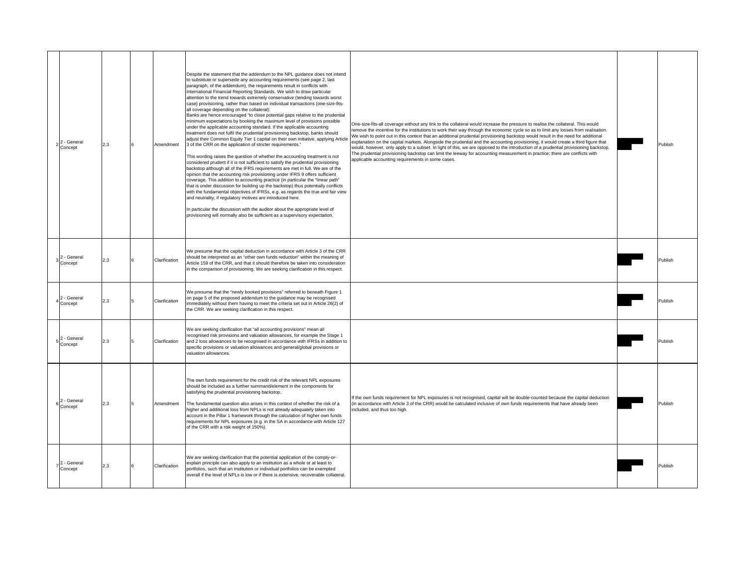| 2 - General<br>Concept | 2.3 | Amendment     | Despite the statement that the addendum to the NPL guidance does not intend<br>to substitute or supersede any accounting requirements (see page 2, last<br>paragraph, of the addendum), the requirements result in conflicts with<br>International Financial Reporting Standards. We wish to draw particular<br>attention to the trend towards extremely conservative (tending towards worst<br>case) provisioning, rather than based on individual transactions (one-size-fits-<br>all coverage depending on the collateral):<br>Banks are hence encouraged "to close potential gaps relative to the prudential<br>minimum expectations by booking the maximum level of provisions possible<br>under the applicable accounting standard. If the applicable accounting<br>treatment does not fulfil the prudential provisioning backstop, banks should<br>adjust their Common Equity Tier 1 capital on their own initiative, applying Article<br>3 of the CRR on the application of stricter requirements."<br>This wording raises the question of whether the accounting treatment is not<br>considered prudent if it is not sufficient to satisfy the prudential provisioning<br>backstop although all of the IFRS requirements are met in full. We are of the<br>opinion that the accounting risk provisioning under IFRS 9 offers sufficient<br>coverage. This addition to accounting practice (in particular the "linear path"<br>that is under discussion for building up the backstop) thus potentially conflicts<br>with the fundamental objectives of IFRSs, e.g. as regards the true and fair view<br>and neutrality, if regulatory motives are introduced here.<br>In particular the discussion with the auditor about the appropriate level of<br>provisioning will normally also be sufficient as a supervisory expectation. | One-size-fits-all coverage without any link to the collateral would increase the pressure to realise the collateral. This would<br>remove the incentive for the institutions to work their way through the economic cycle so as to limit any losses from realisation.<br>We wish to point out in this context that an additional prudential provisioning backstop would result in the need for additional<br>explanation on the capital markets. Alongside the prudential and the accounting provisioning, it would create a third figure that<br>would, however, only apply to a subset. In light of this, we are opposed to the introduction of a prudential provisioning backstop.<br>The prudential provisioning backstop can limit the leeway for accounting measurement in practice; there are conflicts with<br>applicable accounting requirements in some cases. | Publish |
|------------------------|-----|---------------|-------------------------------------------------------------------------------------------------------------------------------------------------------------------------------------------------------------------------------------------------------------------------------------------------------------------------------------------------------------------------------------------------------------------------------------------------------------------------------------------------------------------------------------------------------------------------------------------------------------------------------------------------------------------------------------------------------------------------------------------------------------------------------------------------------------------------------------------------------------------------------------------------------------------------------------------------------------------------------------------------------------------------------------------------------------------------------------------------------------------------------------------------------------------------------------------------------------------------------------------------------------------------------------------------------------------------------------------------------------------------------------------------------------------------------------------------------------------------------------------------------------------------------------------------------------------------------------------------------------------------------------------------------------------------------------------------------------------------------------------------------------------------------------------------------------------------------------------|--------------------------------------------------------------------------------------------------------------------------------------------------------------------------------------------------------------------------------------------------------------------------------------------------------------------------------------------------------------------------------------------------------------------------------------------------------------------------------------------------------------------------------------------------------------------------------------------------------------------------------------------------------------------------------------------------------------------------------------------------------------------------------------------------------------------------------------------------------------------------|---------|
| 2 - General<br>Concept | 2.3 | Clarification | We presume that the capital deduction in accordance with Article 3 of the CRR<br>should be interpreted as an "other own funds reduction" within the meaning of<br>Article 159 of the CRR, and that it should therefore be taken into consideration<br>in the comparison of provisioning. We are seeking clarification in this respect.                                                                                                                                                                                                                                                                                                                                                                                                                                                                                                                                                                                                                                                                                                                                                                                                                                                                                                                                                                                                                                                                                                                                                                                                                                                                                                                                                                                                                                                                                                    |                                                                                                                                                                                                                                                                                                                                                                                                                                                                                                                                                                                                                                                                                                                                                                                                                                                                          | Publish |
| 2 - General<br>Concept | 2.3 | Clarification | We presume that the "newly booked provisions" referred to beneath Figure 1<br>on page 5 of the proposed addendum to the guidance may be recognised<br>mmediately without them having to meet the criteria set out in Article 26(2) of<br>the CRR. We are seeking clarification in this respect.                                                                                                                                                                                                                                                                                                                                                                                                                                                                                                                                                                                                                                                                                                                                                                                                                                                                                                                                                                                                                                                                                                                                                                                                                                                                                                                                                                                                                                                                                                                                           |                                                                                                                                                                                                                                                                                                                                                                                                                                                                                                                                                                                                                                                                                                                                                                                                                                                                          | Publish |
| 2 - General<br>Concept | 2.3 | Clarification | We are seeking clarification that "all accounting provisions" mean all<br>recognised risk provisions and valuation allowances, for example the Stage 1<br>and 2 loss allowances to be recognised in accordance with IFRSs in addition to<br>specific provisions or valuation allowances and general/global provisions or<br>valuation allowances.                                                                                                                                                                                                                                                                                                                                                                                                                                                                                                                                                                                                                                                                                                                                                                                                                                                                                                                                                                                                                                                                                                                                                                                                                                                                                                                                                                                                                                                                                         |                                                                                                                                                                                                                                                                                                                                                                                                                                                                                                                                                                                                                                                                                                                                                                                                                                                                          | Publish |
| 2 - General<br>Concept | 2.3 | Amendment     | The own funds requirement for the credit risk of the relevant NPL exposures<br>should be included as a further summand/element in the components for<br>satisfying the prudential provisioning backstop.<br>The fundamental question also arises in this context of whether the risk of a<br>higher and additional loss from NPLs is not already adequately taken into<br>account in the Pillar 1 framework through the calculation of higher own funds<br>requirements for NPL exposures (e.g. in the SA in accordance with Article 127<br>of the CRR with a risk weight of 150%).                                                                                                                                                                                                                                                                                                                                                                                                                                                                                                                                                                                                                                                                                                                                                                                                                                                                                                                                                                                                                                                                                                                                                                                                                                                       | If the own funds requirement for NPL exposures is not recognised, capital will be double-counted because the capital deduction<br>(in accordance with Article 3 of the CRR) would be calculated inclusive of own funds requirements that have already been<br>included, and thus too high.                                                                                                                                                                                                                                                                                                                                                                                                                                                                                                                                                                               | Publish |
| 2 - General<br>Concept | 2.3 | Clarification | We are seeking clarification that the potential application of the comply-or-<br>explain principle can also apply to an institution as a whole or at least to<br>portfolios, such that an institution or individual portfolios can be exempted<br>overall if the level of NPLs is low or if there is extensive, recoverable collateral.                                                                                                                                                                                                                                                                                                                                                                                                                                                                                                                                                                                                                                                                                                                                                                                                                                                                                                                                                                                                                                                                                                                                                                                                                                                                                                                                                                                                                                                                                                   |                                                                                                                                                                                                                                                                                                                                                                                                                                                                                                                                                                                                                                                                                                                                                                                                                                                                          | Publish |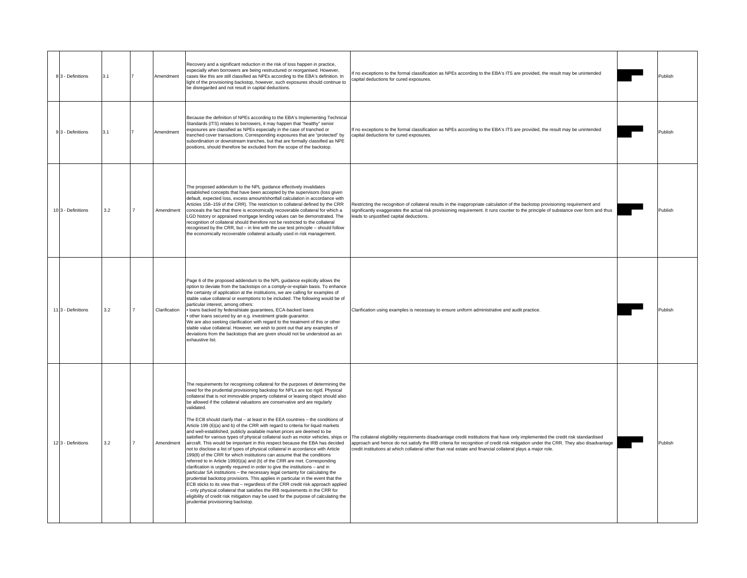| 8 3 - Definitions             | 3.1 |                | Amendment     | Recovery and a significant reduction in the risk of loss happen in practice.<br>especially when borrowers are being restructured or reorganised. However,<br>cases like this are still classified as NPEs according to the EBA's definition. In<br>light of the provisioning backstop, however, such exposures should continue to<br>be disregarded and not result in capital deductions.                                                                                                                                                                                                                                                                                                                                                                                                                                                                                                                                                                                                                                                                                                                                                                                                                                                                                                                                                                                                                                                                                                  | If no exceptions to the formal classification as NPEs according to the EBA's ITS are provided, the result may be unintended<br>capital deductions for cured exposures.                                                                                                                                                                                                                                                                                                    | Publish |
|-------------------------------|-----|----------------|---------------|--------------------------------------------------------------------------------------------------------------------------------------------------------------------------------------------------------------------------------------------------------------------------------------------------------------------------------------------------------------------------------------------------------------------------------------------------------------------------------------------------------------------------------------------------------------------------------------------------------------------------------------------------------------------------------------------------------------------------------------------------------------------------------------------------------------------------------------------------------------------------------------------------------------------------------------------------------------------------------------------------------------------------------------------------------------------------------------------------------------------------------------------------------------------------------------------------------------------------------------------------------------------------------------------------------------------------------------------------------------------------------------------------------------------------------------------------------------------------------------------|---------------------------------------------------------------------------------------------------------------------------------------------------------------------------------------------------------------------------------------------------------------------------------------------------------------------------------------------------------------------------------------------------------------------------------------------------------------------------|---------|
| 93 - Definitions              | 3.1 |                | Amendment     | Because the definition of NPEs according to the EBA's Implementing Technical<br>Standards (ITS) relates to borrowers, it may happen that "healthy" senior<br>exposures are classified as NPEs especially in the case of tranched or<br>tranched cover transactions. Corresponding exposures that are "protected" by<br>subordination or downstream tranches, but that are formally classified as NPE<br>positions, should therefore be excluded from the scope of the backstop.                                                                                                                                                                                                                                                                                                                                                                                                                                                                                                                                                                                                                                                                                                                                                                                                                                                                                                                                                                                                            | If no exceptions to the formal classification as NPEs according to the EBA's ITS are provided, the result may be unintended<br>apital deductions for cured exposures.                                                                                                                                                                                                                                                                                                     | Publish |
| 10 <sub>3</sub> - Definitions | 3.2 |                | Amendment     | The proposed addendum to the NPL guidance effectively invalidates<br>established concepts that have been accepted by the supervisors (loss given<br>default, expected loss, excess amount/shortfall calculation in accordance with<br>Articles 158-159 of the CRR). The restriction to collateral defined by the CRR<br>conceals the fact that there is economically recoverable collateral for which a<br>LGD history or appraised mortgage lending values can be demonstrated. The<br>recognition of collateral should therefore not be restricted to the collateral<br>recognised by the CRR, but - in line with the use test principle - should follow<br>the economically recoverable collateral actually used in risk management.                                                                                                                                                                                                                                                                                                                                                                                                                                                                                                                                                                                                                                                                                                                                                    | Restricting the recognition of collateral results in the inappropriate calculation of the backstop provisioning requirement and<br>significantly exaggerates the actual risk provisioning requirement. It runs counter to the principle of substance over form and thus<br>leads to unjustified capital deductions.                                                                                                                                                       | Publish |
| 113 - Definitions             | 3.2 | $\overline{7}$ | Clarification | Page 6 of the proposed addendum to the NPL guidance explicitly allows the<br>option to deviate from the backstops on a comply-or-explain basis. To enhance<br>the certainty of application at the institutions, we are calling for examples of<br>stable value collateral or exemptions to be included. The following would be of<br>particular interest, among others:<br>· loans backed by federal/state guarantees, ECA-backed loans<br>other loans secured by an e.g. investment grade guarantor.<br>We are also seeking clarification with regard to the treatment of this or other<br>stable value collateral. However, we wish to point out that any examples of<br>deviations from the backstops that are given should not be understood as an<br>exhaustive list.                                                                                                                                                                                                                                                                                                                                                                                                                                                                                                                                                                                                                                                                                                                 | Clarification using examples is necessary to ensure uniform administrative and audit practice.                                                                                                                                                                                                                                                                                                                                                                            | Publish |
| 12 3 - Definitions            | 3.2 |                | Amendment     | The requirements for recognising collateral for the purposes of determining the<br>need for the prudential provisioning backstop for NPLs are too rigid. Physical<br>collateral that is not immovable property collateral or leasing object should also<br>be allowed if the collateral valuations are conservative and are regularly<br>validated.<br>The ECB should clarify that - at least in the EEA countries - the conditions of<br>Article 199 (6)(a) and b) of the CRR with regard to criteria for liquid markets<br>and well-established, publicly available market prices are deemed to be<br>aircraft. This would be important in this respect because the EBA has decided<br>not to disclose a list of types of physical collateral in accordance with Article<br>199(8) of the CRR for which institutions can assume that the conditions<br>referred to in Article 199(6)(a) and (b) of the CRR are met. Corresponding<br>clarification is urgently required in order to give the institutions - and in<br>particular SA institutions - the necessary legal certainty for calculating the<br>prudential backstop provisions. This applies in particular in the event that the<br>ECB sticks to its view that - regardless of the CRR credit risk approach applied<br>only physical collateral that satisfies the IRB requirements in the CRR for<br>eligibility of credit risk mitigation may be used for the purpose of calculating the<br>prudential provisioning backstop. | satisfied for various types of physical collateral such as motor vehicles, ships or The collateral eligibility requirements disadvantage credit institutions that have only implemented the credit risk standardised<br>approach and hence do not satisfy the IRB criteria for recognition of credit risk mitigation under the CRR. They also disadvantage<br>credit institutions at which collateral other than real estate and financial collateral plays a major role. | Publish |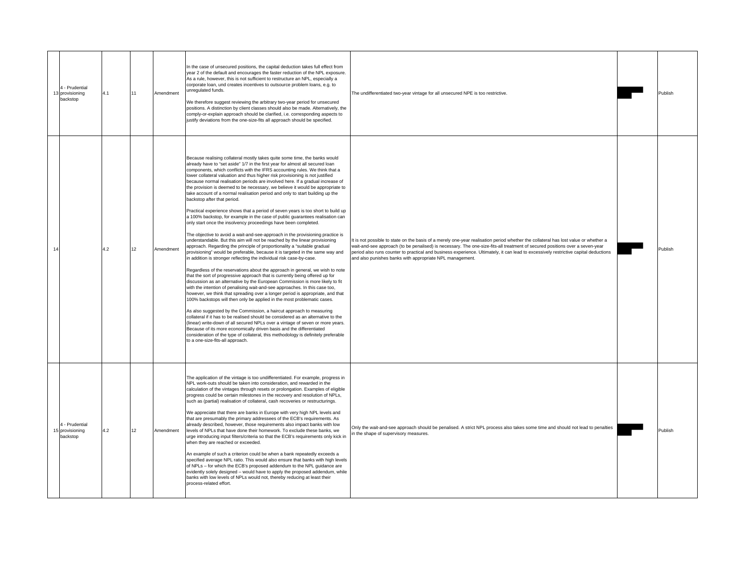| 4 - Prudential<br>13 provisioning<br>backstop | 4.1 | 11 | Amendment | In the case of unsecured positions, the capital deduction takes full effect from<br>year 2 of the default and encourages the faster reduction of the NPL exposure.<br>As a rule, however, this is not sufficient to restructure an NPL, especially a<br>corporate loan, und creates incentives to outsource problem loans, e.g. to<br>unregulated funds.<br>We therefore suggest reviewing the arbitrary two-year period for unsecured<br>positions. A distinction by client classes should also be made. Alternatively, the<br>comply-or-explain approach should be clarified, i.e. corresponding aspects to<br>justify deviations from the one-size-fits all approach should be specified.                                                                                                                                                                                                                                                                                                                                                                                                                                                                                                                                                                                                                                                                                                                                                                                                                                                                                                                                                                                                                                                                                                                                                                                                                                                                                                                                                                                                                                                                                                                 | The undifferentiated two-year vintage for all unsecured NPE is too restrictive.                                                                                                                                                                                                                                                                                                                                                                                         | Publish |
|-----------------------------------------------|-----|----|-----------|--------------------------------------------------------------------------------------------------------------------------------------------------------------------------------------------------------------------------------------------------------------------------------------------------------------------------------------------------------------------------------------------------------------------------------------------------------------------------------------------------------------------------------------------------------------------------------------------------------------------------------------------------------------------------------------------------------------------------------------------------------------------------------------------------------------------------------------------------------------------------------------------------------------------------------------------------------------------------------------------------------------------------------------------------------------------------------------------------------------------------------------------------------------------------------------------------------------------------------------------------------------------------------------------------------------------------------------------------------------------------------------------------------------------------------------------------------------------------------------------------------------------------------------------------------------------------------------------------------------------------------------------------------------------------------------------------------------------------------------------------------------------------------------------------------------------------------------------------------------------------------------------------------------------------------------------------------------------------------------------------------------------------------------------------------------------------------------------------------------------------------------------------------------------------------------------------------------|-------------------------------------------------------------------------------------------------------------------------------------------------------------------------------------------------------------------------------------------------------------------------------------------------------------------------------------------------------------------------------------------------------------------------------------------------------------------------|---------|
| 14                                            | 4.2 | 12 | Amendment | Because realising collateral mostly takes quite some time, the banks would<br>already have to "set aside" 1/7 in the first year for almost all secured loan<br>components, which conflicts with the IFRS accounting rules. We think that a<br>lower collateral valuation and thus higher risk provisioning is not justified<br>because normal realisation periods are involved here. If a gradual increase of<br>the provision is deemed to be necessary, we believe it would be appropriate to<br>take account of a normal realisation period and only to start building up the<br>backstop after that period.<br>Practical experience shows that a period of seven years is too short to build up<br>a 100% backstop, for example in the case of public guarantees realisation can<br>only start once the insolvency proceedings have been completed.<br>The objective to avoid a wait-and-see-approach in the provisioning practice is<br>understandable. But this aim will not be reached by the linear provisioning<br>approach. Regarding the principle of proportionality a "suitable gradual<br>provisioning" would be preferable, because it is targeted in the same way and<br>in addition is stronger reflecting the individual risk case-by-case.<br>Regardless of the reservations about the approach in general, we wish to note<br>that the sort of progressive approach that is currently being offered up for<br>discussion as an alternative by the European Commission is more likely to fit<br>with the intention of penalising wait-and-see approaches. In this case too,<br>however, we think that spreading over a longer period is appropriate, and that<br>100% backstops will then only be applied in the most problematic cases.<br>As also suggested by the Commission, a haircut approach to measuring<br>collateral if it has to be realised should be considered as an alternative to the<br>(linear) write-down of all secured NPLs over a vintage of seven or more years.<br>Because of its more economically driven basis and the differentiated<br>consideration of the type of collateral, this methodology is definitely preferable<br>to a one-size-fits-all approach. | It is not possible to state on the basis of a merely one-year realisation period whether the collateral has lost value or whether a<br>wait-and-see approach (to be penalised) is necessary. The one-size-fits-all treatment of secured positions over a seven-year<br>period also runs counter to practical and business experience. Ultimately, it can lead to excessively restrictive capital deductions<br>and also punishes banks with appropriate NPL management. | Publish |
| 4 - Prudential<br>15 provisioning<br>backstop | 4.2 | 12 | Amendment | The application of the vintage is too undifferentiated. For example, progress in<br>NPL work-outs should be taken into consideration, and rewarded in the<br>calculation of the vintages through resets or prolongation. Examples of eligible<br>progress could be certain milestones in the recovery and resolution of NPLs,<br>such as (partial) realisation of collateral, cash recoveries or restructurings.<br>We appreciate that there are banks in Europe with very high NPL levels and<br>that are presumably the primary addressees of the ECB's requirements. As<br>already described, however, those requirements also impact banks with low<br>levels of NPLs that have done their homework. To exclude these banks, we<br>urge introducing input filters/criteria so that the ECB's requirements only kick in<br>when they are reached or exceeded.<br>An example of such a criterion could be when a bank repeatedly exceeds a<br>specified average NPL ratio. This would also ensure that banks with high levels<br>of NPLs - for which the ECB's proposed addendum to the NPL guidance are<br>evidently solely designed - would have to apply the proposed addendum, while<br>banks with low levels of NPLs would not, thereby reducing at least their<br>process-related effort.                                                                                                                                                                                                                                                                                                                                                                                                                                                                                                                                                                                                                                                                                                                                                                                                                                                                                                            | Only the wait-and-see approach should be penalised. A strict NPL process also takes some time and should not lead to penalties<br>n the shape of supervisory measures.                                                                                                                                                                                                                                                                                                  | Publish |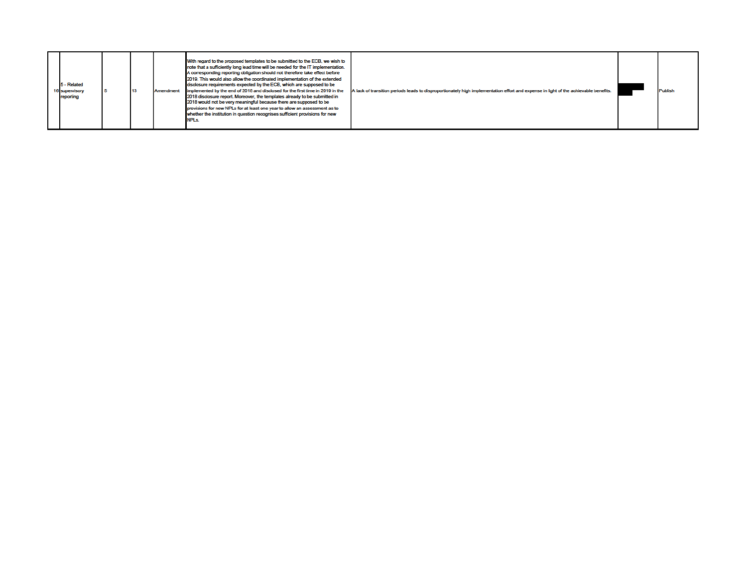|  | 5 - Related<br><b>6</b> supervisory<br>reporting |  | 13 | Amendment | With regard to the proposed templates to be submitted to the ECB, we wish to<br>note that a sufficiently long lead time will be needed for the IT implementation.<br>A corresponding reporting obligation should not therefore take effect before<br>2019. This would also allow the coordinated implementation of the extended<br>disclosure requirements expected by the ECB, which are supposed to be<br>implemented by the end of 2018 and disclosed for the first time in 2019 in the<br>2018 disclosure report. Moreover, the templates already to be submitted in<br>2018 would not be very meaningful because there are supposed to be<br>provisions for new NPLs for at least one year to allow an assessment as to<br>whether the institution in question recognises sufficient provisions for new<br>NPLs. | A lack of transition periods leads to disproportionately high implementation effort and expense in light of the achievable benefits. |  | <b>Publish</b> |
|--|--------------------------------------------------|--|----|-----------|-----------------------------------------------------------------------------------------------------------------------------------------------------------------------------------------------------------------------------------------------------------------------------------------------------------------------------------------------------------------------------------------------------------------------------------------------------------------------------------------------------------------------------------------------------------------------------------------------------------------------------------------------------------------------------------------------------------------------------------------------------------------------------------------------------------------------|--------------------------------------------------------------------------------------------------------------------------------------|--|----------------|
|--|--------------------------------------------------|--|----|-----------|-----------------------------------------------------------------------------------------------------------------------------------------------------------------------------------------------------------------------------------------------------------------------------------------------------------------------------------------------------------------------------------------------------------------------------------------------------------------------------------------------------------------------------------------------------------------------------------------------------------------------------------------------------------------------------------------------------------------------------------------------------------------------------------------------------------------------|--------------------------------------------------------------------------------------------------------------------------------------|--|----------------|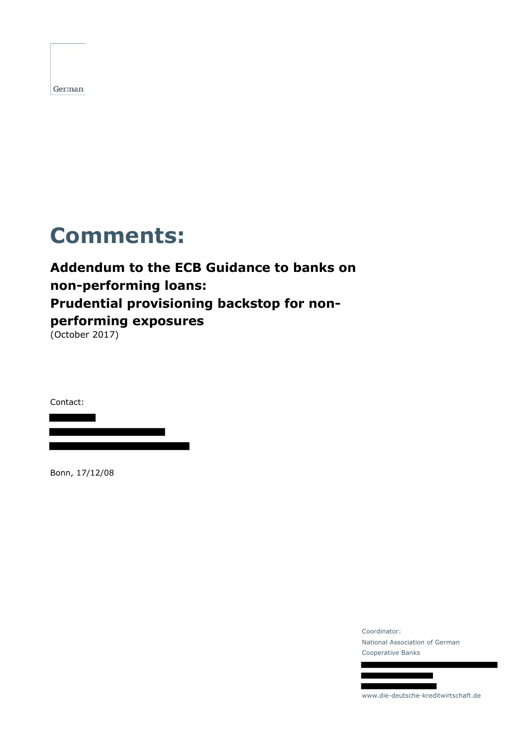# **Comments:**

## **Addendum to the ECB Guidance to banks on non-performing loans: Prudential provisioning backstop for nonperforming exposures** (October 2017)

Contact:

Bonn, 17/12/08

Coordinator: National Association of German Cooperative Banks



www.die-deutsche-kreditwirtschaft.de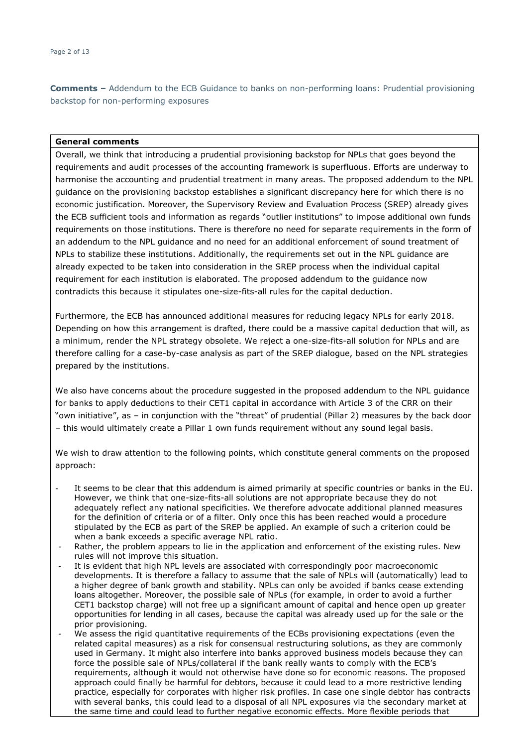#### **General comments**

Overall, we think that introducing a prudential provisioning backstop for NPLs that goes beyond the requirements and audit processes of the accounting framework is superfluous. Efforts are underway to harmonise the accounting and prudential treatment in many areas. The proposed addendum to the NPL guidance on the provisioning backstop establishes a significant discrepancy here for which there is no economic justification. Moreover, the Supervisory Review and Evaluation Process (SREP) already gives the ECB sufficient tools and information as regards "outlier institutions" to impose additional own funds requirements on those institutions. There is therefore no need for separate requirements in the form of an addendum to the NPL guidance and no need for an additional enforcement of sound treatment of NPLs to stabilize these institutions. Additionally, the requirements set out in the NPL guidance are already expected to be taken into consideration in the SREP process when the individual capital requirement for each institution is elaborated. The proposed addendum to the guidance now contradicts this because it stipulates one-size-fits-all rules for the capital deduction.

Furthermore, the ECB has announced additional measures for reducing legacy NPLs for early 2018. Depending on how this arrangement is drafted, there could be a massive capital deduction that will, as a minimum, render the NPL strategy obsolete. We reject a one-size-fits-all solution for NPLs and are therefore calling for a case-by-case analysis as part of the SREP dialogue, based on the NPL strategies prepared by the institutions.

We also have concerns about the procedure suggested in the proposed addendum to the NPL guidance for banks to apply deductions to their CET1 capital in accordance with Article 3 of the CRR on their "own initiative", as – in conjunction with the "threat" of prudential (Pillar 2) measures by the back door – this would ultimately create a Pillar 1 own funds requirement without any sound legal basis.

We wish to draw attention to the following points, which constitute general comments on the proposed approach:

- It seems to be clear that this addendum is aimed primarily at specific countries or banks in the EU. However, we think that one-size-fits-all solutions are not appropriate because they do not adequately reflect any national specificities. We therefore advocate additional planned measures for the definition of criteria or of a filter. Only once this has been reached would a procedure stipulated by the ECB as part of the SREP be applied. An example of such a criterion could be when a bank exceeds a specific average NPL ratio.
- Rather, the problem appears to lie in the application and enforcement of the existing rules. New rules will not improve this situation.
- It is evident that high NPL levels are associated with correspondingly poor macroeconomic developments. It is therefore a fallacy to assume that the sale of NPLs will (automatically) lead to a higher degree of bank growth and stability. NPLs can only be avoided if banks cease extending loans altogether. Moreover, the possible sale of NPLs (for example, in order to avoid a further CET1 backstop charge) will not free up a significant amount of capital and hence open up greater opportunities for lending in all cases, because the capital was already used up for the sale or the prior provisioning.
- We assess the rigid quantitative requirements of the ECBs provisioning expectations (even the related capital measures) as a risk for consensual restructuring solutions, as they are commonly used in Germany. It might also interfere into banks approved business models because they can force the possible sale of NPLs/collateral if the bank really wants to comply with the ECB's requirements, although it would not otherwise have done so for economic reasons. The proposed approach could finally be harmful for debtors, because it could lead to a more restrictive lending practice, especially for corporates with higher risk profiles. In case one single debtor has contracts with several banks, this could lead to a disposal of all NPL exposures via the secondary market at the same time and could lead to further negative economic effects. More flexible periods that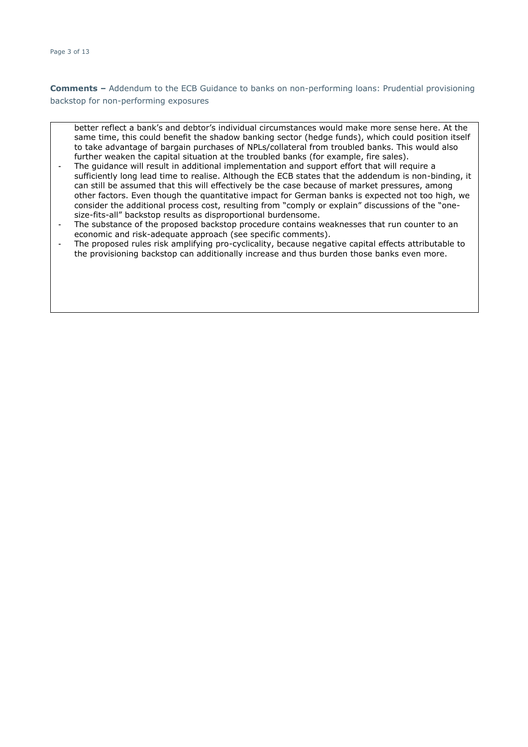- better reflect a bank's and debtor's individual circumstances would make more sense here. At the same time, this could benefit the shadow banking sector (hedge funds), which could position itself to take advantage of bargain purchases of NPLs/collateral from troubled banks. This would also further weaken the capital situation at the troubled banks (for example, fire sales).
- The quidance will result in additional implementation and support effort that will require a sufficiently long lead time to realise. Although the ECB states that the addendum is non-binding, it can still be assumed that this will effectively be the case because of market pressures, among other factors. Even though the quantitative impact for German banks is expected not too high, we consider the additional process cost, resulting from "comply or explain" discussions of the "onesize-fits-all" backstop results as disproportional burdensome.
- The substance of the proposed backstop procedure contains weaknesses that run counter to an economic and risk-adequate approach (see specific comments).
- The proposed rules risk amplifying pro-cyclicality, because negative capital effects attributable to the provisioning backstop can additionally increase and thus burden those banks even more.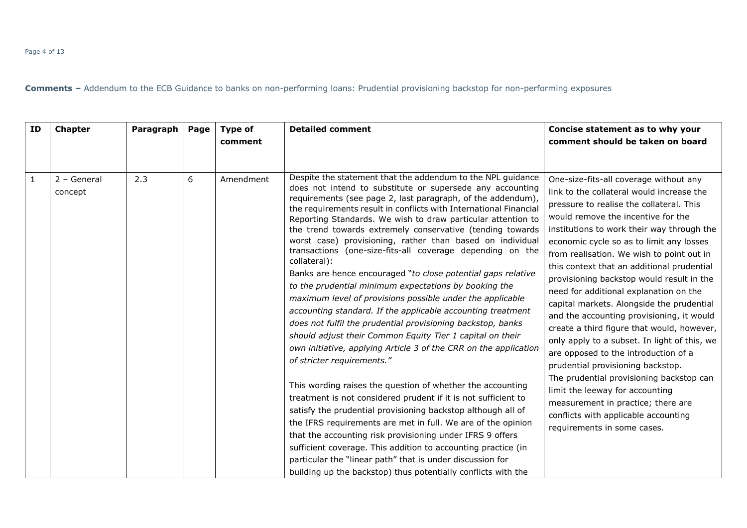| ID           | <b>Chapter</b>           | Paragraph | Page | Type of<br>comment | <b>Detailed comment</b>                                                                                                                                                                                                                                                                                                                                                                                                                                                                                                                                                                                                                                                                                                                                                                                                                                                                                                                                                                                                                                                                                                                                                                                                                                                                                                                                                                                                                                                                                                                            | Concise statement as to why your<br>comment should be taken on board                                                                                                                                                                                                                                                                                                                                                                                                                                                                                                                                                                                                                                                                                                                                                                                                                                               |
|--------------|--------------------------|-----------|------|--------------------|----------------------------------------------------------------------------------------------------------------------------------------------------------------------------------------------------------------------------------------------------------------------------------------------------------------------------------------------------------------------------------------------------------------------------------------------------------------------------------------------------------------------------------------------------------------------------------------------------------------------------------------------------------------------------------------------------------------------------------------------------------------------------------------------------------------------------------------------------------------------------------------------------------------------------------------------------------------------------------------------------------------------------------------------------------------------------------------------------------------------------------------------------------------------------------------------------------------------------------------------------------------------------------------------------------------------------------------------------------------------------------------------------------------------------------------------------------------------------------------------------------------------------------------------------|--------------------------------------------------------------------------------------------------------------------------------------------------------------------------------------------------------------------------------------------------------------------------------------------------------------------------------------------------------------------------------------------------------------------------------------------------------------------------------------------------------------------------------------------------------------------------------------------------------------------------------------------------------------------------------------------------------------------------------------------------------------------------------------------------------------------------------------------------------------------------------------------------------------------|
| $\mathbf{1}$ | $2 - General$<br>concept | 2.3       | 6    | Amendment          | Despite the statement that the addendum to the NPL guidance<br>does not intend to substitute or supersede any accounting<br>requirements (see page 2, last paragraph, of the addendum),<br>the requirements result in conflicts with International Financial<br>Reporting Standards. We wish to draw particular attention to<br>the trend towards extremely conservative (tending towards<br>worst case) provisioning, rather than based on individual<br>transactions (one-size-fits-all coverage depending on the<br>collateral):<br>Banks are hence encouraged "to close potential gaps relative<br>to the prudential minimum expectations by booking the<br>maximum level of provisions possible under the applicable<br>accounting standard. If the applicable accounting treatment<br>does not fulfil the prudential provisioning backstop, banks<br>should adjust their Common Equity Tier 1 capital on their<br>own initiative, applying Article 3 of the CRR on the application<br>of stricter requirements."<br>This wording raises the question of whether the accounting<br>treatment is not considered prudent if it is not sufficient to<br>satisfy the prudential provisioning backstop although all of<br>the IFRS requirements are met in full. We are of the opinion<br>that the accounting risk provisioning under IFRS 9 offers<br>sufficient coverage. This addition to accounting practice (in<br>particular the "linear path" that is under discussion for<br>building up the backstop) thus potentially conflicts with the | One-size-fits-all coverage without any<br>link to the collateral would increase the<br>pressure to realise the collateral. This<br>would remove the incentive for the<br>institutions to work their way through the<br>economic cycle so as to limit any losses<br>from realisation. We wish to point out in<br>this context that an additional prudential<br>provisioning backstop would result in the<br>need for additional explanation on the<br>capital markets. Alongside the prudential<br>and the accounting provisioning, it would<br>create a third figure that would, however,<br>only apply to a subset. In light of this, we<br>are opposed to the introduction of a<br>prudential provisioning backstop.<br>The prudential provisioning backstop can<br>limit the leeway for accounting<br>measurement in practice; there are<br>conflicts with applicable accounting<br>requirements in some cases. |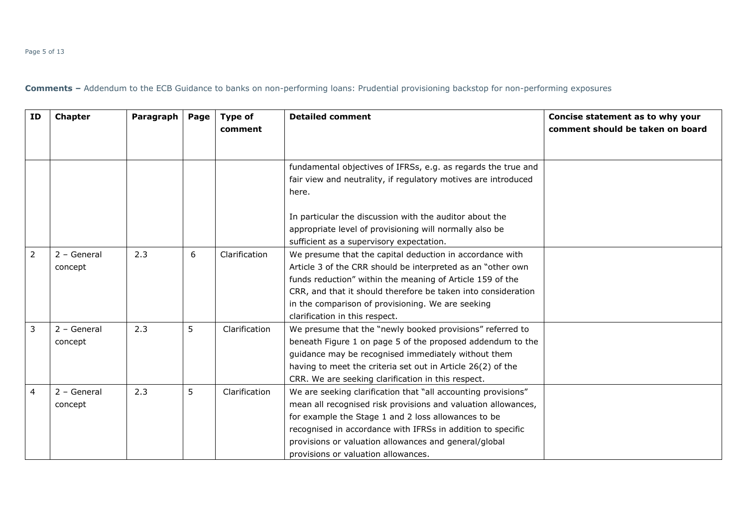| ΙD             | <b>Chapter</b>           | Paragraph | Page | Type of<br>comment | <b>Detailed comment</b>                                                                                                                                                                                                                                                                                                                              | Concise statement as to why your<br>comment should be taken on board |
|----------------|--------------------------|-----------|------|--------------------|------------------------------------------------------------------------------------------------------------------------------------------------------------------------------------------------------------------------------------------------------------------------------------------------------------------------------------------------------|----------------------------------------------------------------------|
|                |                          |           |      |                    | fundamental objectives of IFRSs, e.g. as regards the true and<br>fair view and neutrality, if regulatory motives are introduced<br>here.                                                                                                                                                                                                             |                                                                      |
|                |                          |           |      |                    | In particular the discussion with the auditor about the<br>appropriate level of provisioning will normally also be<br>sufficient as a supervisory expectation.                                                                                                                                                                                       |                                                                      |
| $\overline{2}$ | $2 - General$<br>concept | 2.3       | 6    | Clarification      | We presume that the capital deduction in accordance with<br>Article 3 of the CRR should be interpreted as an "other own<br>funds reduction" within the meaning of Article 159 of the<br>CRR, and that it should therefore be taken into consideration<br>in the comparison of provisioning. We are seeking<br>clarification in this respect.         |                                                                      |
| 3              | 2 - General<br>concept   | 2.3       | 5    | Clarification      | We presume that the "newly booked provisions" referred to<br>beneath Figure 1 on page 5 of the proposed addendum to the<br>guidance may be recognised immediately without them<br>having to meet the criteria set out in Article 26(2) of the<br>CRR. We are seeking clarification in this respect.                                                  |                                                                      |
| 4              | $2 - General$<br>concept | 2.3       | 5    | Clarification      | We are seeking clarification that "all accounting provisions"<br>mean all recognised risk provisions and valuation allowances,<br>for example the Stage 1 and 2 loss allowances to be<br>recognised in accordance with IFRSs in addition to specific<br>provisions or valuation allowances and general/global<br>provisions or valuation allowances. |                                                                      |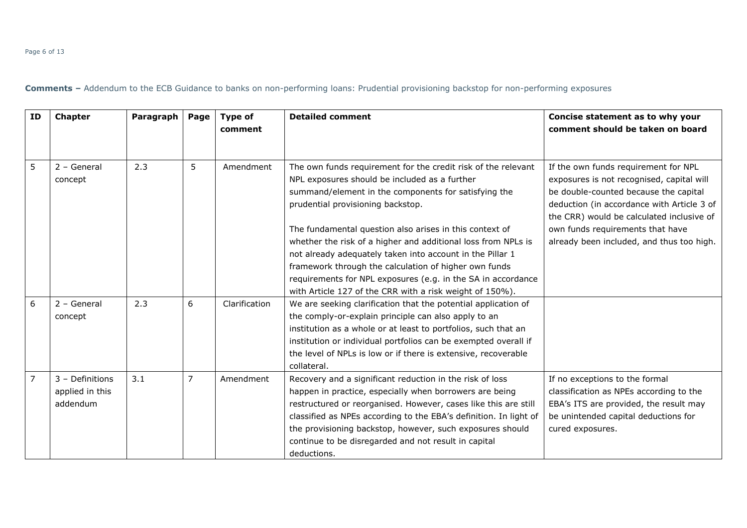#### Page 6 of 13

| <b>ID</b>      | <b>Chapter</b>                                 | Paragraph | Page           | <b>Type of</b><br>comment | <b>Detailed comment</b>                                                                                                                                                                                                                                                                                                                                                                         | Concise statement as to why your<br>comment should be taken on board                                                                                                                                                  |
|----------------|------------------------------------------------|-----------|----------------|---------------------------|-------------------------------------------------------------------------------------------------------------------------------------------------------------------------------------------------------------------------------------------------------------------------------------------------------------------------------------------------------------------------------------------------|-----------------------------------------------------------------------------------------------------------------------------------------------------------------------------------------------------------------------|
| 5              | $2 - General$<br>concept                       | 2.3       | 5              | Amendment                 | The own funds requirement for the credit risk of the relevant<br>NPL exposures should be included as a further<br>summand/element in the components for satisfying the<br>prudential provisioning backstop.                                                                                                                                                                                     | If the own funds requirement for NPL<br>exposures is not recognised, capital will<br>be double-counted because the capital<br>deduction (in accordance with Article 3 of<br>the CRR) would be calculated inclusive of |
|                |                                                |           |                |                           | The fundamental question also arises in this context of<br>whether the risk of a higher and additional loss from NPLs is<br>not already adequately taken into account in the Pillar 1<br>framework through the calculation of higher own funds<br>requirements for NPL exposures (e.g. in the SA in accordance<br>with Article 127 of the CRR with a risk weight of 150%).                      | own funds requirements that have<br>already been included, and thus too high.                                                                                                                                         |
| 6              | $2 - General$<br>concept                       | 2.3       | 6              | Clarification             | We are seeking clarification that the potential application of<br>the comply-or-explain principle can also apply to an<br>institution as a whole or at least to portfolios, such that an<br>institution or individual portfolios can be exempted overall if<br>the level of NPLs is low or if there is extensive, recoverable<br>collateral.                                                    |                                                                                                                                                                                                                       |
| $\overline{7}$ | 3 - Definitions<br>applied in this<br>addendum | 3.1       | $\overline{7}$ | Amendment                 | Recovery and a significant reduction in the risk of loss<br>happen in practice, especially when borrowers are being<br>restructured or reorganised. However, cases like this are still<br>classified as NPEs according to the EBA's definition. In light of<br>the provisioning backstop, however, such exposures should<br>continue to be disregarded and not result in capital<br>deductions. | If no exceptions to the formal<br>classification as NPEs according to the<br>EBA's ITS are provided, the result may<br>be unintended capital deductions for<br>cured exposures.                                       |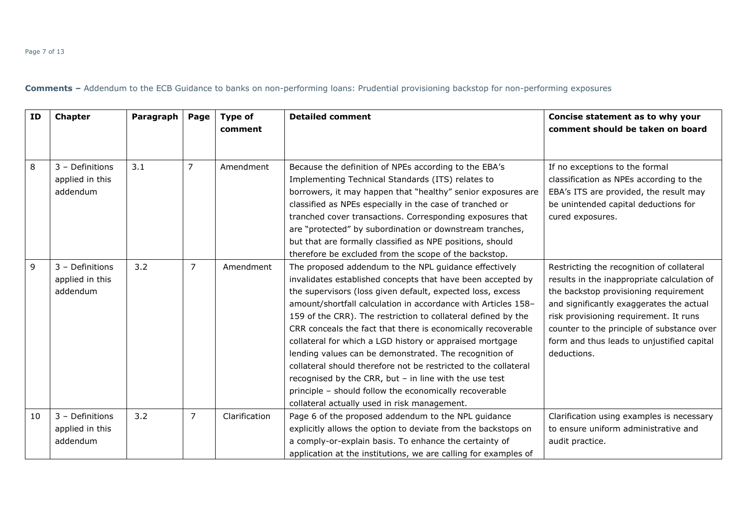#### Page 7 of 13

| <b>ID</b> | <b>Chapter</b>                                 | Paragraph | Page           | Type of<br>comment | <b>Detailed comment</b>                                                                                                                                                                                                                                                                                                                                                                                                                                                                                                                                                                                                                                                                                                                             | Concise statement as to why your<br>comment should be taken on board                                                                                                                                                                                                                                                               |
|-----------|------------------------------------------------|-----------|----------------|--------------------|-----------------------------------------------------------------------------------------------------------------------------------------------------------------------------------------------------------------------------------------------------------------------------------------------------------------------------------------------------------------------------------------------------------------------------------------------------------------------------------------------------------------------------------------------------------------------------------------------------------------------------------------------------------------------------------------------------------------------------------------------------|------------------------------------------------------------------------------------------------------------------------------------------------------------------------------------------------------------------------------------------------------------------------------------------------------------------------------------|
| 8         | 3 - Definitions<br>applied in this<br>addendum | 3.1       | $\overline{7}$ | Amendment          | Because the definition of NPEs according to the EBA's<br>Implementing Technical Standards (ITS) relates to<br>borrowers, it may happen that "healthy" senior exposures are<br>classified as NPEs especially in the case of tranched or<br>tranched cover transactions. Corresponding exposures that<br>are "protected" by subordination or downstream tranches,<br>but that are formally classified as NPE positions, should<br>therefore be excluded from the scope of the backstop.                                                                                                                                                                                                                                                               | If no exceptions to the formal<br>classification as NPEs according to the<br>EBA's ITS are provided, the result may<br>be unintended capital deductions for<br>cured exposures.                                                                                                                                                    |
| 9         | 3 - Definitions<br>applied in this<br>addendum | 3.2       | $\overline{7}$ | Amendment          | The proposed addendum to the NPL guidance effectively<br>invalidates established concepts that have been accepted by<br>the supervisors (loss given default, expected loss, excess<br>amount/shortfall calculation in accordance with Articles 158-<br>159 of the CRR). The restriction to collateral defined by the<br>CRR conceals the fact that there is economically recoverable<br>collateral for which a LGD history or appraised mortgage<br>lending values can be demonstrated. The recognition of<br>collateral should therefore not be restricted to the collateral<br>recognised by the CRR, but $-$ in line with the use test<br>principle - should follow the economically recoverable<br>collateral actually used in risk management. | Restricting the recognition of collateral<br>results in the inappropriate calculation of<br>the backstop provisioning requirement<br>and significantly exaggerates the actual<br>risk provisioning requirement. It runs<br>counter to the principle of substance over<br>form and thus leads to unjustified capital<br>deductions. |
| 10        | 3 - Definitions<br>applied in this<br>addendum | 3.2       | 7              | Clarification      | Page 6 of the proposed addendum to the NPL guidance<br>explicitly allows the option to deviate from the backstops on<br>a comply-or-explain basis. To enhance the certainty of<br>application at the institutions, we are calling for examples of                                                                                                                                                                                                                                                                                                                                                                                                                                                                                                   | Clarification using examples is necessary<br>to ensure uniform administrative and<br>audit practice.                                                                                                                                                                                                                               |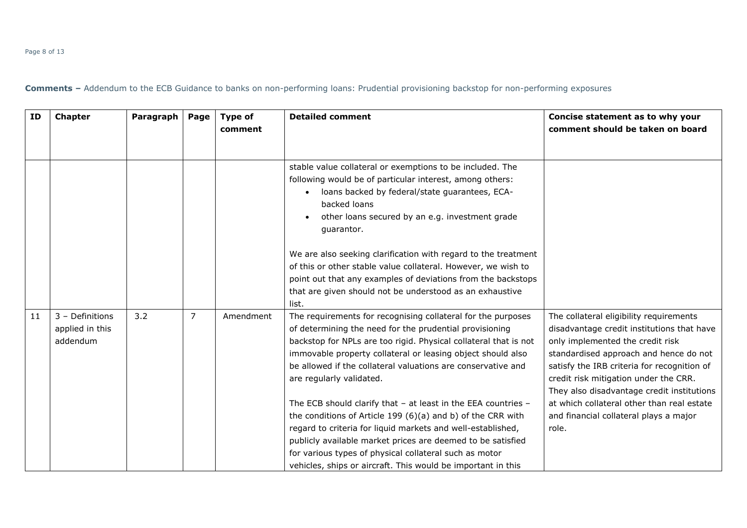#### Page 8 of 13

| <b>ID</b> | <b>Chapter</b>                                 | Paragraph | Page | <b>Type of</b><br>comment | <b>Detailed comment</b>                                                                                                                                                                                                                                                                                                                                                              | Concise statement as to why your<br>comment should be taken on board                                                                                                                                                                                                                                      |
|-----------|------------------------------------------------|-----------|------|---------------------------|--------------------------------------------------------------------------------------------------------------------------------------------------------------------------------------------------------------------------------------------------------------------------------------------------------------------------------------------------------------------------------------|-----------------------------------------------------------------------------------------------------------------------------------------------------------------------------------------------------------------------------------------------------------------------------------------------------------|
|           |                                                |           |      |                           | stable value collateral or exemptions to be included. The<br>following would be of particular interest, among others:<br>loans backed by federal/state guarantees, ECA-<br>$\bullet$<br>backed loans<br>other loans secured by an e.g. investment grade<br>guarantor.                                                                                                                |                                                                                                                                                                                                                                                                                                           |
|           |                                                |           |      |                           | We are also seeking clarification with regard to the treatment<br>of this or other stable value collateral. However, we wish to<br>point out that any examples of deviations from the backstops<br>that are given should not be understood as an exhaustive<br>list.                                                                                                                 |                                                                                                                                                                                                                                                                                                           |
| 11        | 3 - Definitions<br>applied in this<br>addendum | 3.2       | 7    | Amendment                 | The requirements for recognising collateral for the purposes<br>of determining the need for the prudential provisioning<br>backstop for NPLs are too rigid. Physical collateral that is not<br>immovable property collateral or leasing object should also<br>be allowed if the collateral valuations are conservative and<br>are regularly validated.                               | The collateral eligibility requirements<br>disadvantage credit institutions that have<br>only implemented the credit risk<br>standardised approach and hence do not<br>satisfy the IRB criteria for recognition of<br>credit risk mitigation under the CRR.<br>They also disadvantage credit institutions |
|           |                                                |           |      |                           | The ECB should clarify that - at least in the EEA countries -<br>the conditions of Article 199 (6)(a) and b) of the CRR with<br>regard to criteria for liquid markets and well-established,<br>publicly available market prices are deemed to be satisfied<br>for various types of physical collateral such as motor<br>vehicles, ships or aircraft. This would be important in this | at which collateral other than real estate<br>and financial collateral plays a major<br>role.                                                                                                                                                                                                             |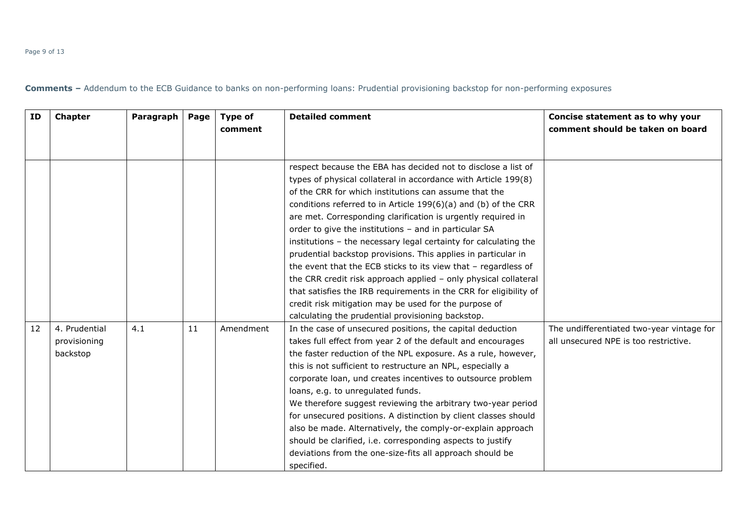| ΙD | <b>Chapter</b>                            | Paragraph | Page | <b>Type of</b><br>comment | <b>Detailed comment</b>                                                                                                                                                                                                                                                                                                                                                                                                                                                                                                                                                                                                                                                                                                                                                                                                                            | Concise statement as to why your<br>comment should be taken on board               |
|----|-------------------------------------------|-----------|------|---------------------------|----------------------------------------------------------------------------------------------------------------------------------------------------------------------------------------------------------------------------------------------------------------------------------------------------------------------------------------------------------------------------------------------------------------------------------------------------------------------------------------------------------------------------------------------------------------------------------------------------------------------------------------------------------------------------------------------------------------------------------------------------------------------------------------------------------------------------------------------------|------------------------------------------------------------------------------------|
|    |                                           |           |      |                           | respect because the EBA has decided not to disclose a list of<br>types of physical collateral in accordance with Article 199(8)<br>of the CRR for which institutions can assume that the<br>conditions referred to in Article $199(6)(a)$ and (b) of the CRR<br>are met. Corresponding clarification is urgently required in<br>order to give the institutions - and in particular SA<br>institutions - the necessary legal certainty for calculating the<br>prudential backstop provisions. This applies in particular in<br>the event that the ECB sticks to its view that - regardless of<br>the CRR credit risk approach applied - only physical collateral<br>that satisfies the IRB requirements in the CRR for eligibility of<br>credit risk mitigation may be used for the purpose of<br>calculating the prudential provisioning backstop. |                                                                                    |
| 12 | 4. Prudential<br>provisioning<br>backstop | 4.1       | 11   | Amendment                 | In the case of unsecured positions, the capital deduction<br>takes full effect from year 2 of the default and encourages<br>the faster reduction of the NPL exposure. As a rule, however,<br>this is not sufficient to restructure an NPL, especially a<br>corporate loan, und creates incentives to outsource problem<br>loans, e.g. to unregulated funds.<br>We therefore suggest reviewing the arbitrary two-year period<br>for unsecured positions. A distinction by client classes should<br>also be made. Alternatively, the comply-or-explain approach<br>should be clarified, i.e. corresponding aspects to justify<br>deviations from the one-size-fits all approach should be<br>specified.                                                                                                                                              | The undifferentiated two-year vintage for<br>all unsecured NPE is too restrictive. |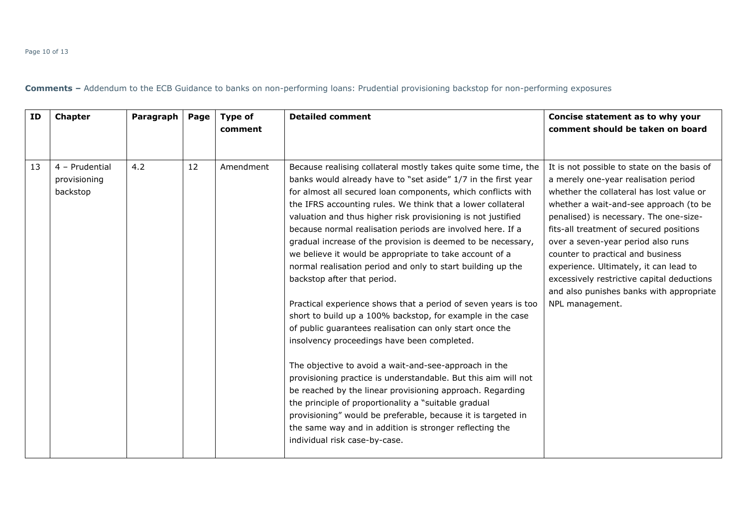#### Page 10 of 13

| ID | <b>Chapter</b>                             | Paragraph | Page | Type of<br>comment | <b>Detailed comment</b>                                                                                                                                                                                                                                                                                                                                                                                                                                                                                                                                                                                                                                                                                                                                                                                                                                                                                                                                                                                                                                                                                                                                                                                                                                                      | Concise statement as to why your<br>comment should be taken on board                                                                                                                                                                                                                                                                                                                                                                                                                             |
|----|--------------------------------------------|-----------|------|--------------------|------------------------------------------------------------------------------------------------------------------------------------------------------------------------------------------------------------------------------------------------------------------------------------------------------------------------------------------------------------------------------------------------------------------------------------------------------------------------------------------------------------------------------------------------------------------------------------------------------------------------------------------------------------------------------------------------------------------------------------------------------------------------------------------------------------------------------------------------------------------------------------------------------------------------------------------------------------------------------------------------------------------------------------------------------------------------------------------------------------------------------------------------------------------------------------------------------------------------------------------------------------------------------|--------------------------------------------------------------------------------------------------------------------------------------------------------------------------------------------------------------------------------------------------------------------------------------------------------------------------------------------------------------------------------------------------------------------------------------------------------------------------------------------------|
| 13 | 4 - Prudential<br>provisioning<br>backstop | 4.2       | 12   | Amendment          | Because realising collateral mostly takes quite some time, the<br>banks would already have to "set aside" 1/7 in the first year<br>for almost all secured loan components, which conflicts with<br>the IFRS accounting rules. We think that a lower collateral<br>valuation and thus higher risk provisioning is not justified<br>because normal realisation periods are involved here. If a<br>gradual increase of the provision is deemed to be necessary,<br>we believe it would be appropriate to take account of a<br>normal realisation period and only to start building up the<br>backstop after that period.<br>Practical experience shows that a period of seven years is too<br>short to build up a 100% backstop, for example in the case<br>of public guarantees realisation can only start once the<br>insolvency proceedings have been completed.<br>The objective to avoid a wait-and-see-approach in the<br>provisioning practice is understandable. But this aim will not<br>be reached by the linear provisioning approach. Regarding<br>the principle of proportionality a "suitable gradual<br>provisioning" would be preferable, because it is targeted in<br>the same way and in addition is stronger reflecting the<br>individual risk case-by-case. | It is not possible to state on the basis of<br>a merely one-year realisation period<br>whether the collateral has lost value or<br>whether a wait-and-see approach (to be<br>penalised) is necessary. The one-size-<br>fits-all treatment of secured positions<br>over a seven-year period also runs<br>counter to practical and business<br>experience. Ultimately, it can lead to<br>excessively restrictive capital deductions<br>and also punishes banks with appropriate<br>NPL management. |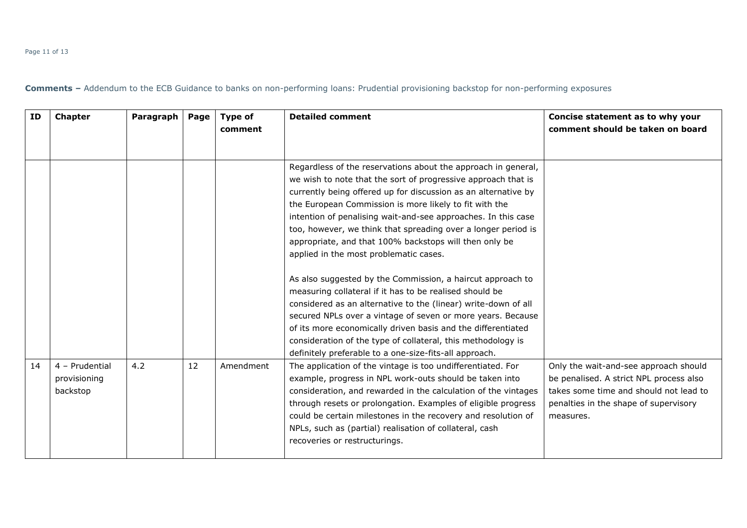#### Page 11 of 13

| ID | <b>Chapter</b>                             | Paragraph | Page | Type of<br>comment | <b>Detailed comment</b>                                                                                                                                                                                                                                                                                                                                                                                                                                                                                                                                                                                                                                                                                                                                                                                                    | Concise statement as to why your<br>comment should be taken on board                                                                                                             |
|----|--------------------------------------------|-----------|------|--------------------|----------------------------------------------------------------------------------------------------------------------------------------------------------------------------------------------------------------------------------------------------------------------------------------------------------------------------------------------------------------------------------------------------------------------------------------------------------------------------------------------------------------------------------------------------------------------------------------------------------------------------------------------------------------------------------------------------------------------------------------------------------------------------------------------------------------------------|----------------------------------------------------------------------------------------------------------------------------------------------------------------------------------|
|    |                                            |           |      |                    | Regardless of the reservations about the approach in general,<br>we wish to note that the sort of progressive approach that is<br>currently being offered up for discussion as an alternative by<br>the European Commission is more likely to fit with the<br>intention of penalising wait-and-see approaches. In this case<br>too, however, we think that spreading over a longer period is<br>appropriate, and that 100% backstops will then only be<br>applied in the most problematic cases.<br>As also suggested by the Commission, a haircut approach to<br>measuring collateral if it has to be realised should be<br>considered as an alternative to the (linear) write-down of all<br>secured NPLs over a vintage of seven or more years. Because<br>of its more economically driven basis and the differentiated |                                                                                                                                                                                  |
|    |                                            |           |      |                    | consideration of the type of collateral, this methodology is<br>definitely preferable to a one-size-fits-all approach.                                                                                                                                                                                                                                                                                                                                                                                                                                                                                                                                                                                                                                                                                                     |                                                                                                                                                                                  |
| 14 | 4 - Prudential<br>provisioning<br>backstop | 4.2       | 12   | Amendment          | The application of the vintage is too undifferentiated. For<br>example, progress in NPL work-outs should be taken into<br>consideration, and rewarded in the calculation of the vintages<br>through resets or prolongation. Examples of eligible progress<br>could be certain milestones in the recovery and resolution of<br>NPLs, such as (partial) realisation of collateral, cash<br>recoveries or restructurings.                                                                                                                                                                                                                                                                                                                                                                                                     | Only the wait-and-see approach should<br>be penalised. A strict NPL process also<br>takes some time and should not lead to<br>penalties in the shape of supervisory<br>measures. |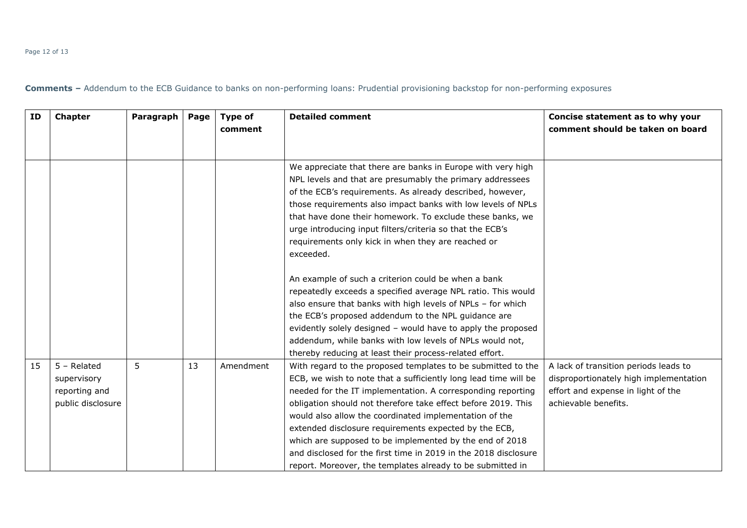#### Page 12 of 13

| ID | <b>Chapter</b>                                                     | Paragraph | Page | <b>Type of</b><br>comment | <b>Detailed comment</b>                                                                                                                                                                                                                                                                                                                                                                                                                                                                                                                                                        | Concise statement as to why your<br>comment should be taken on board                                                                          |
|----|--------------------------------------------------------------------|-----------|------|---------------------------|--------------------------------------------------------------------------------------------------------------------------------------------------------------------------------------------------------------------------------------------------------------------------------------------------------------------------------------------------------------------------------------------------------------------------------------------------------------------------------------------------------------------------------------------------------------------------------|-----------------------------------------------------------------------------------------------------------------------------------------------|
|    |                                                                    |           |      |                           | We appreciate that there are banks in Europe with very high<br>NPL levels and that are presumably the primary addressees<br>of the ECB's requirements. As already described, however,<br>those requirements also impact banks with low levels of NPLs<br>that have done their homework. To exclude these banks, we<br>urge introducing input filters/criteria so that the ECB's<br>requirements only kick in when they are reached or<br>exceeded.                                                                                                                             |                                                                                                                                               |
|    |                                                                    |           |      |                           | An example of such a criterion could be when a bank<br>repeatedly exceeds a specified average NPL ratio. This would<br>also ensure that banks with high levels of NPLs - for which<br>the ECB's proposed addendum to the NPL guidance are<br>evidently solely designed - would have to apply the proposed<br>addendum, while banks with low levels of NPLs would not,<br>thereby reducing at least their process-related effort.                                                                                                                                               |                                                                                                                                               |
| 15 | $5 - Related$<br>supervisory<br>reporting and<br>public disclosure | 5         | 13   | Amendment                 | With regard to the proposed templates to be submitted to the<br>ECB, we wish to note that a sufficiently long lead time will be<br>needed for the IT implementation. A corresponding reporting<br>obligation should not therefore take effect before 2019. This<br>would also allow the coordinated implementation of the<br>extended disclosure requirements expected by the ECB,<br>which are supposed to be implemented by the end of 2018<br>and disclosed for the first time in 2019 in the 2018 disclosure<br>report. Moreover, the templates already to be submitted in | A lack of transition periods leads to<br>disproportionately high implementation<br>effort and expense in light of the<br>achievable benefits. |